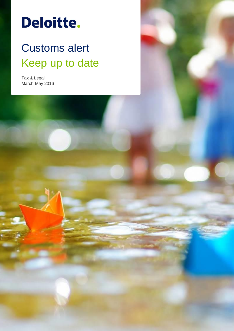# **Deloitte.**

## Customs alert Keep up to date

Tax & Legal March-May 2016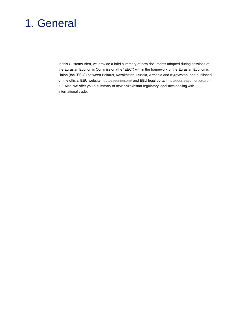### 1. General

In this Customs Alert, we provide a brief summary of new documents adopted during sessions of the Eurasian Economic Commission (the "EEC") within the framework of the Eurasian Economic Union (the "EEU") between Belarus, Kazakhstan, Russia, Armenia and Kyrgyzstan, and published on the official EEU website http://eaeunion.org/ and EEU legal portal http://docs.eaeunion.org/ruru/. Also, we offer you a summary of new Kazakhstan regulatory legal acts dealing with international trade.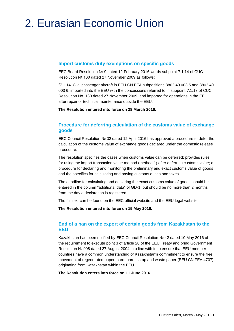### 2. Eurasian Economic Union

### **Import customs duty exemptions on specific goods**

EEC Board Resolution № 9 dated 12 February 2016 words subpoint 7.1.14 of CUC Resolution № 130 dated 27 November 2009 as follows:

"7.1.14. Civil passenger aircraft in EEU CN FEA subpositions 8802 40 003 5 and 8802 40 003 6, imported into the EEU with the concessions referred to in subpoint 7.1.13 of CUC Resolution No. 130 dated 27 November 2009, and imported for operations in the EEU after repair or technical maintenance outside the EEU."

**The Resolution entered into force on 28 March 2016.**

### **Procedure for deferring calculation of the customs value of exchange goods**

EEC Council Resolution № 32 dated 12 April 2016 has approved a procedure to defer the calculation of the customs value of exchange goods declared under the domestic release procedure.

The resolution specifies the cases when customs value can be deferred; provides rules for using the import transaction value method (method 1) after deferring customs value; a procedure for declaring and monitoring the preliminary and exact customs value of goods; and the specifics for calculating and paying customs duties and taxes.

The deadline for calculating and declaring the exact customs value of goods should be entered in the column "additional data" of GD-1, but should be no more than 2 months from the day a declaration is registered.

The full text can be found on the EEC official website and the EEU legal website.

**The Resolution entered into force on 15 May 2016.**

### **End of a ban on the export of certain goods from Kazakhstan to the EEU**

Kazakhstan has been notified by EEC Council Resolution № 42 dated 10 May 2016 of the requirement to execute point 3 of article 28 of the EEU Treaty and bring Government Resolution № 908 dated 27 August 2004 into line with it, to ensure that EEU member countries have a common understanding of Kazakhstan's commitment to ensure the free movement of regenerated paper, cardboard, scrap and waste paper (EEU CN FEA 4707) originating from Kazakhstan within the EEU.

**The Resolution enters into force on 11 June 2016.**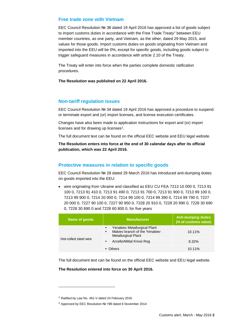#### **Free trade zone with Vietnam**

EEC Council Resolution № 36 dated 19 April 2016 has approved a list of goods subject to import customs duties in accordance with the Free Trade Treaty<sup>1</sup> between EEU member countries, as one party, and Vietnam, as the other, dated 29 May 2015, and values for those goods. Import customs duties on goods originating from Vietnam and imported into the EEU will be 0%, except for specific goods, including goods subject to trigger safeguard measures in accordance with article 2.10 of the Treaty.

The Treaty will enter into force when the parties complete domestic ratification procedures.

#### **The Resolution was published on 22 April 2016.**

#### **Non-tariff regulation issues**

EEC Council Resolution № 34 dated 19 April 2016 has approved a procedure to suspend or terminate export and (or) import licenses, and license execution certificates.

Changes have also been made to application instructions for export and (or) import licenses and for drawing up licenses<sup>2</sup>.

The full document text can be found on the official EEC website and EEU legal website.

**The Resolution enters into force at the end of 30 calendar days after its official publication, which was 22 April 2016.**

#### **Protective measures in relation to specific goods**

EEC Council Resolution № 28 dated 29 March 2016 has introduced anti-dumping duties on goods imported into the EEU:

 wire originating from Ukraine and classified as EEU CU FEA 7213 10 000 0, 7213 91 100 0, 7213 91 410 0, 7213 91 490 0, 7213 91 700 0, 7213 91 900 0, 7213 99 100 0, 7213 99 900 0, 7214 20 000 0, 7214 99 100 0, 7214 99 390 0, 7214 99 790 0, 7227 20 000 0, 7227 90 100 0, 7227 90 950 0, 7228 20 910 0, 7228 20 990 0, 7228 30 690 0, 7228 30 890 0 and 7228 60 800 0, for five years

| Name of goods         | <b>Manufacturer</b>                                                                                      | <b>Anti-dumping duties</b><br>(% of customs value) |
|-----------------------|----------------------------------------------------------------------------------------------------------|----------------------------------------------------|
| Hot-rolled steel wire | Yenakiev Metallurgical Plant<br>Makiev branch of the Yenakiev<br>$\bullet$<br><b>Metallurgical Plant</b> | $10.11\%$                                          |
|                       | ArcellorMittal Krivoi Rog<br>$\bullet$                                                                   | 9.32%                                              |
|                       | • Others                                                                                                 | $10.11\%$                                          |

The full document text can be found on the official EEC website and EEU legal website.

#### **The Resolution entered into force on 30 April 2016.**

1

<sup>1</sup> Ratified by Law No. 461-V dated 24 February 2016

<sup>2</sup> Approved by EEC Resolution № 199 dated 6 November 2014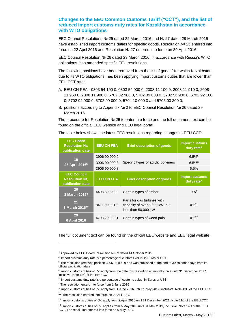### **Changes to the EEU Common Customs Tariff ("CCT"), and the list of reduced import customs duty rates for Kazakhstan in accordance with WTO obligations**

EEC Council Resolutions № 25 dated 22 March 2016 and № 27 dated 29 March 2016 have established import customs duties for specific goods. Resolution № 25 entered into force on 22 April 2016 and Resolution № 27 entered into force on 30 April 2016.

EEC Council Resolution № 26 dated 29 March 2016, in accordance with Russia's WTO obligations, has amended specific EEU resolutions.

The following positions have been removed from the list of goods<sup>3</sup> for which Kazakhstan, due to its WTO obligations, has been applying import customs duties that are lower than EEU CCT rates:

- A. EEU CN FEA 0303 54 100 0, 0303 54 900 0, 2008 11 100 0, 2008 11 910 0, 2008 11 960 0, 2008 11 980 0, 5702 32 900 0, 5702 39 000 0, 5702 50 900 0, 5702 92 100 0, 5702 92 900 0, 5702 99 000 0, 5704 10 000 0 and 5705 00 300 0;
- B. positions according to Appendix № 2 to EEC Council Resolution № 26 dated 29 March 2016.

The procedure for Resolution № 26 to enter into force and the full document text can be found on the official EEC website and EEU legal portal.

| <b>EEC Board</b><br>Resolution No.<br>publication date          | <b>EEU CN FEA</b> | <b>Brief description of goods</b>                                                    | <b>Import customs</b><br>duty rate <sup>4</sup> |
|-----------------------------------------------------------------|-------------------|--------------------------------------------------------------------------------------|-------------------------------------------------|
| 19<br>28 April 2016 <sup>5</sup>                                | 3906 90 900 2     | Specific types of acrylic polymers                                                   | $6.5\%$ <sup>6</sup>                            |
|                                                                 | 3906 90 900 3     |                                                                                      | $6.5\%$ <sup>6</sup>                            |
|                                                                 | 3906 90 900 8     |                                                                                      | 6.5%                                            |
| <b>EEC Council</b><br><b>Resolution No.</b><br>publication date | <b>EEU CN FEA</b> | <b>Brief description of goods</b>                                                    | <b>Import customs</b><br>duty rate <sup>7</sup> |
| 20<br>3 March 2016 <sup>8</sup>                                 | 4408 39 850 9     | Certain types of timber                                                              | $0\%$ <sup>9</sup>                              |
| 21<br>3 March 2016 <sup>10</sup>                                | 8411 99 001 9     | Parts for gas turbines with<br>capacity of over 5,000 kW, but<br>less than 50,000 kW | $0\%$ <sup>11</sup>                             |
| 29<br>6 April 2016                                              | 4703 29 000 1     | Certain types of wood pulp                                                           | $0\%$ <sup>12</sup>                             |

The table below shows the latest EEC resolutions regarding changes to EEU CCT:

The full document text can be found on the official EEC website and EEU legal website.

-

<sup>3</sup> Approved by EEC Board Resolution № 59 dated 14 October 2015

<sup>4</sup> Import customs duty rate is a percentage of customs value, in Euros or US\$

<sup>&</sup>lt;sup>5</sup> The resolution removes position 3906 90 900 9 and was published at the end of 30 calendar days from its official publication date

<sup>&</sup>lt;sup>6</sup> Import customs duties of 0% apply from the date this resolution enters into force until 31 December 2017, inclusive. Note 64С of the EEU CCT

 $7$  Import customs duty rate is a percentage of customs value, in Euros or US\$

<sup>8</sup> The resolution enters into force from 1 June 2016

<sup>9</sup> Import customs duties of 0% apply from 1 June 2016 until 31 May 2019, inclusive. Note 13C of the EEU CCT

<sup>10</sup> The resolution entered into force on 2 April 2016

<sup>11</sup> Import customs duties of 0% apply from 2 April 2016 until 31 December 2021. Note 21C of the EEU CCT

<sup>12</sup> Import customs duties of 0% applies from 6 May 2016 until 31 May 2019, inclusive. Note 14C of the EEU CCT. The resolution entered into force on 6 May 2016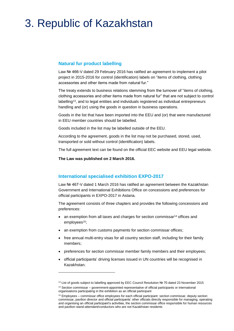### 3. Republic of Kazakhstan

### **Natural fur product labelling**

Law № 466-V dated 29 February 2016 has ratified an agreement to implement a pilot project in 2015-2016 for control (identification) labels on "items of clothing, clothing accessories and other items made from natural fur."

The treaty extends to business relations stemming from the turnover of "items of clothing, clothing accessories and other items made from natural fur" that are not subject to control labelling<sup>13</sup>, and to legal entities and individuals registered as individual entrepreneurs handling and (or) using the goods in question in business operations.

Goods in the list that have been imported into the EEU and (or) that were manufactured in EEU member countries should be labelled.

Goods included in the list may be labelled outside of the EEU.

According to the agreement, goods in the list may not be purchased, stored, used, transported or sold without control (identification) labels.

The full agreement text can be found on the official EEC website and EEU legal website.

**The Law was published on 2 March 2016.**

1

### **International specialised exhibition EXPO-2017**

Law № 467-V dated 1 March 2016 has ratified an agreement between the Kazakhstan Government and International Exhibitions Office on concessions and preferences for official participants in EXPO-2017 in Astana.

The agreement consists of three chapters and provides the following concessions and preferences:

- an exemption from all taxes and charges for section commissar<sup>14</sup> offices and employees<sup>15</sup>;
- an exemption from customs payments for section commissar offices;
- free annual multi-entry visas for all country section staff, including for their family members;
- preferences for section commissar member family members and their employees;
- official participants' driving licenses issued in UN countries will be recognised in Kazakhstan.

<sup>13</sup> List of goods subject to labelling approved by EEC Council Resolution № 70 dated 23 November 2015

<sup>&</sup>lt;sup>14</sup> Section commissar – government-appointed representative of official participants or international organisations participating in the exhibition as an official participant

<sup>15</sup> Employees – commissar office employees for each official participant: section commissar, deputy section commissar, pavilion director and official participants' other officials directly responsible for managing, operating and organising an official participant's activities, the section commissar office responsible for human resources and pavilion stand-attendant/conductors who are not Kazakhstan residents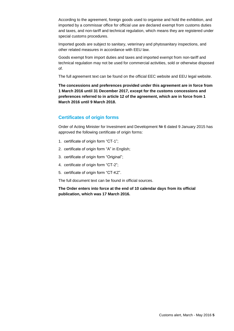According to the agreement, foreign goods used to organise and hold the exhibition, and imported by a commissar office for official use are declared exempt from customs duties and taxes, and non-tariff and technical regulation, which means they are registered under special customs procedures.

Imported goods are subject to sanitary, veterinary and phytosanitary inspections, and other related measures in accordance with EEU law.

Goods exempt from import duties and taxes and imported exempt from non-tariff and technical regulation may not be used for commercial activities, sold or otherwise disposed of.

The full agreement text can be found on the official EEC website and EEU legal website.

**The concessions and preferences provided under this agreement are in force from 1 March 2016 until 31 December 2017, except for the customs concessions and preferences referred to in article 12 of the agreement, which are in force from 1 March 2016 until 9 March 2018.**

### **Certificates of origin forms**

Order of Acting Minister for Investment and Development № 6 dated 9 January 2015 has approved the following certificate of origin forms:

- 1. certificate of origin form "СТ-1";
- 2. certificate of origin form "А" in English;
- 3. certificate of origin form "Original";
- 4. certificate of origin form "СТ-2";
- 5. certificate of origin form "СТ-KZ".

The full document text can be found in official sources.

**The Order enters into force at the end of 10 calendar days from its official publication, which was 17 March 2016.**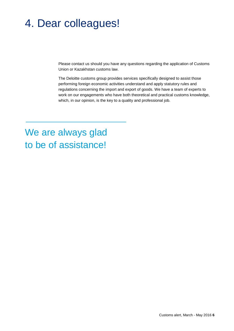### 4. Dear colleagues!

Please contact us should you have any questions regarding the application of Customs Union or Kazakhstan customs law.

The Deloitte customs group provides services specifically designed to assist those performing foreign economic activities understand and apply statutory rules and regulations concerning the import and export of goods. We have a team of experts to work on our engagements who have both theoretical and practical customs knowledge, which, in our opinion, is the key to a quality and professional job.

### We are always glad to be of assistance!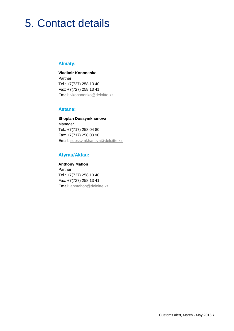### 5. Contact details

### **Almaty:**

**Vladimir Kononenko Partner** Tel.: +7(727) 258 13 40 Fax: +7(727) 258 13 41 Email: [vkononenko@deloitte.kz](mailto:vkononenko@deloitte.kz)

### **Astana:**

**Shoplan Dossymkhanova** Manager Tel.: +7(717) 258 04 80 Fax: +7(717) 258 03 90 Email: sdossymkhanova@deloitte.kz

### **Atyrau/Aktau:**

**Anthony Mahon** Partner Tel.: +7(727) 258 13 40 Fax: +7(727) 258 13 41 Email: anmahon@deloitte.kz